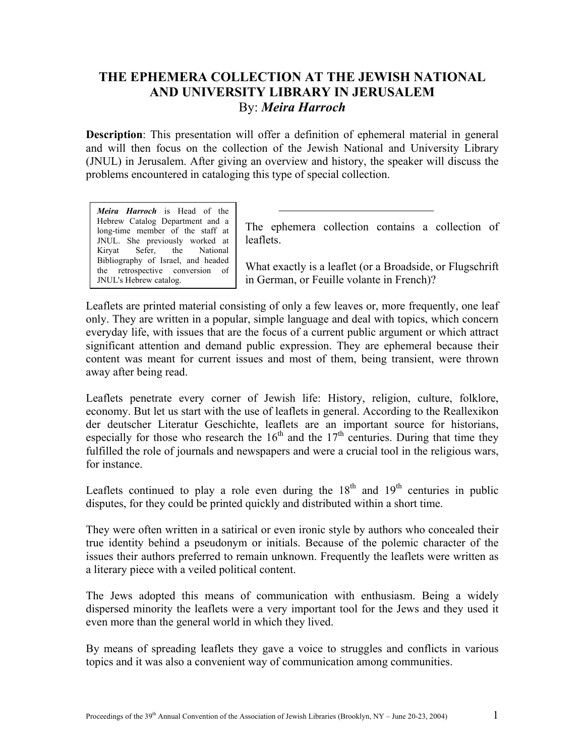## **THE EPHEMERA COLLECTION AT THE JEWISH NATIONAL AND UNIVERSITY LIBRARY IN JERUSALEM**  By: *Meira Harroch*

**Description**: This presentation will offer a definition of ephemeral material in general and will then focus on the collection of the Jewish National and University Library (JNUL) in Jerusalem. After giving an overview and history, the speaker will discuss the problems encountered in cataloging this type of special collection.

*Meira Harroch* is Head of the Hebrew Catalog Department and a long-time member of the staff at JNUL. She previously worked at Kiryat Sefer, the National Bibliography of Israel, and headed the retrospective conversion of JNUL's Hebrew cat

The ephemera collection contains a collection of leaflets.

What exactly is a leaflet (or a Broadside, or Flugschrift in German, or Feuille volante in French)?

Leaflets are printed material consisting of only a few leaves or, more frequently, one leaf only. They are written in a popular, simple language and deal with topics, which concern everyday life, with issues that are the focus of a current public argument or which attract significant attention and demand public expression. They are ephemeral because their content was meant for current issues and most of them, being transient, were thrown away after being read.

Leaflets penetrate every corner of Jewish life: History, religion, culture, folklore, economy. But let us start with the use of leaflets in general. According to the Reallexikon der deutscher Literatur Geschichte, leaflets are an important source for historians, especially for those who research the  $16<sup>th</sup>$  and the  $17<sup>th</sup>$  centuries. During that time they fulfilled the role of journals and newspapers and were a crucial tool in the religious wars, for instance.

Leaflets continued to play a role even during the  $18<sup>th</sup>$  and  $19<sup>th</sup>$  centuries in public disputes, for they could be printed quickly and distributed within a short time.

They were often written in a satirical or even ironic style by authors who concealed their true identity behind a pseudonym or initials. Because of the polemic character of the issues their authors preferred to remain unknown. Frequently the leaflets were written as a literary piece with a veiled political content.

The Jews adopted this means of communication with enthusiasm. Being a widely dispersed minority the leaflets were a very important tool for the Jews and they used it even more than the general world in which they lived.

By means of spreading leaflets they gave a voice to struggles and conflicts in various topics and it was also a convenient way of communication among communities.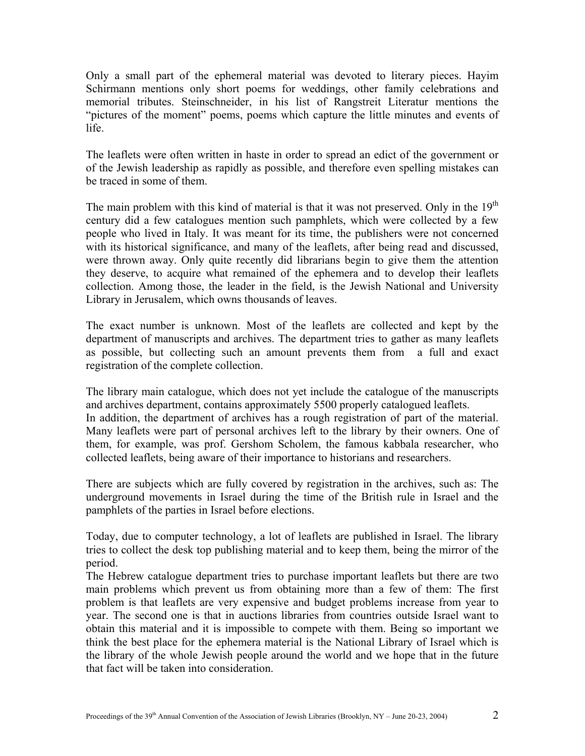Only a small part of the ephemeral material was devoted to literary pieces. Hayim Schirmann mentions only short poems for weddings, other family celebrations and memorial tributes. Steinschneider, in his list of Rangstreit Literatur mentions the "pictures of the moment" poems, poems which capture the little minutes and events of life.

The leaflets were often written in haste in order to spread an edict of the government or of the Jewish leadership as rapidly as possible, and therefore even spelling mistakes can be traced in some of them.

The main problem with this kind of material is that it was not preserved. Only in the  $19<sup>th</sup>$ century did a few catalogues mention such pamphlets, which were collected by a few people who lived in Italy. It was meant for its time, the publishers were not concerned with its historical significance, and many of the leaflets, after being read and discussed, were thrown away. Only quite recently did librarians begin to give them the attention they deserve, to acquire what remained of the ephemera and to develop their leaflets collection. Among those, the leader in the field, is the Jewish National and University Library in Jerusalem, which owns thousands of leaves.

The exact number is unknown. Most of the leaflets are collected and kept by the department of manuscripts and archives. The department tries to gather as many leaflets as possible, but collecting such an amount prevents them from a full and exact registration of the complete collection.

The library main catalogue, which does not yet include the catalogue of the manuscripts and archives department, contains approximately 5500 properly catalogued leaflets.

In addition, the department of archives has a rough registration of part of the material. Many leaflets were part of personal archives left to the library by their owners. One of them, for example, was prof. Gershom Scholem, the famous kabbala researcher, who collected leaflets, being aware of their importance to historians and researchers.

There are subjects which are fully covered by registration in the archives, such as: The underground movements in Israel during the time of the British rule in Israel and the pamphlets of the parties in Israel before elections.

Today, due to computer technology, a lot of leaflets are published in Israel. The library tries to collect the desk top publishing material and to keep them, being the mirror of the period.

The Hebrew catalogue department tries to purchase important leaflets but there are two main problems which prevent us from obtaining more than a few of them: The first problem is that leaflets are very expensive and budget problems increase from year to year. The second one is that in auctions libraries from countries outside Israel want to obtain this material and it is impossible to compete with them. Being so important we think the best place for the ephemera material is the National Library of Israel which is the library of the whole Jewish people around the world and we hope that in the future that fact will be taken into consideration.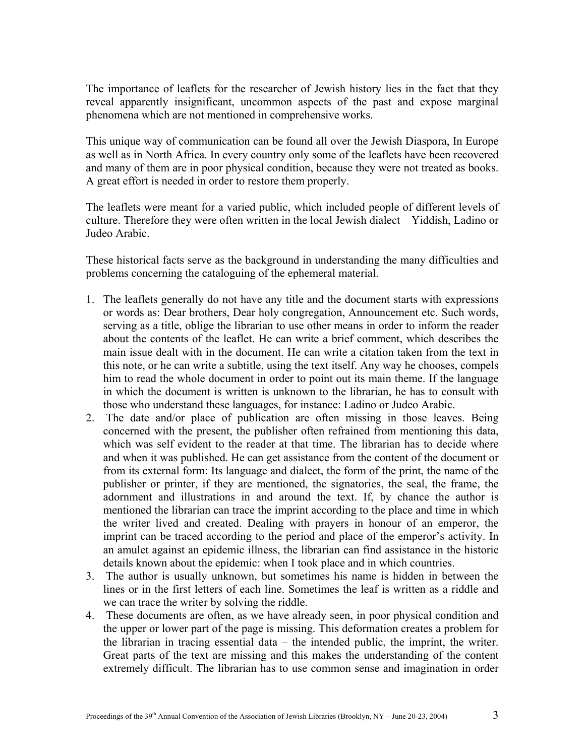The importance of leaflets for the researcher of Jewish history lies in the fact that they reveal apparently insignificant, uncommon aspects of the past and expose marginal phenomena which are not mentioned in comprehensive works.

This unique way of communication can be found all over the Jewish Diaspora, In Europe as well as in North Africa. In every country only some of the leaflets have been recovered and many of them are in poor physical condition, because they were not treated as books. A great effort is needed in order to restore them properly.

The leaflets were meant for a varied public, which included people of different levels of culture. Therefore they were often written in the local Jewish dialect – Yiddish, Ladino or Judeo Arabic.

These historical facts serve as the background in understanding the many difficulties and problems concerning the cataloguing of the ephemeral material.

- 1. The leaflets generally do not have any title and the document starts with expressions or words as: Dear brothers, Dear holy congregation, Announcement etc. Such words, serving as a title, oblige the librarian to use other means in order to inform the reader about the contents of the leaflet. He can write a brief comment, which describes the main issue dealt with in the document. He can write a citation taken from the text in this note, or he can write a subtitle, using the text itself. Any way he chooses, compels him to read the whole document in order to point out its main theme. If the language in which the document is written is unknown to the librarian, he has to consult with those who understand these languages, for instance: Ladino or Judeo Arabic.
- 2. The date and/or place of publication are often missing in those leaves. Being concerned with the present, the publisher often refrained from mentioning this data, which was self evident to the reader at that time. The librarian has to decide where and when it was published. He can get assistance from the content of the document or from its external form: Its language and dialect, the form of the print, the name of the publisher or printer, if they are mentioned, the signatories, the seal, the frame, the adornment and illustrations in and around the text. If, by chance the author is mentioned the librarian can trace the imprint according to the place and time in which the writer lived and created. Dealing with prayers in honour of an emperor, the imprint can be traced according to the period and place of the emperor's activity. In an amulet against an epidemic illness, the librarian can find assistance in the historic details known about the epidemic: when I took place and in which countries.
- 3. The author is usually unknown, but sometimes his name is hidden in between the lines or in the first letters of each line. Sometimes the leaf is written as a riddle and we can trace the writer by solving the riddle.
- 4. These documents are often, as we have already seen, in poor physical condition and the upper or lower part of the page is missing. This deformation creates a problem for the librarian in tracing essential data – the intended public, the imprint, the writer. Great parts of the text are missing and this makes the understanding of the content extremely difficult. The librarian has to use common sense and imagination in order